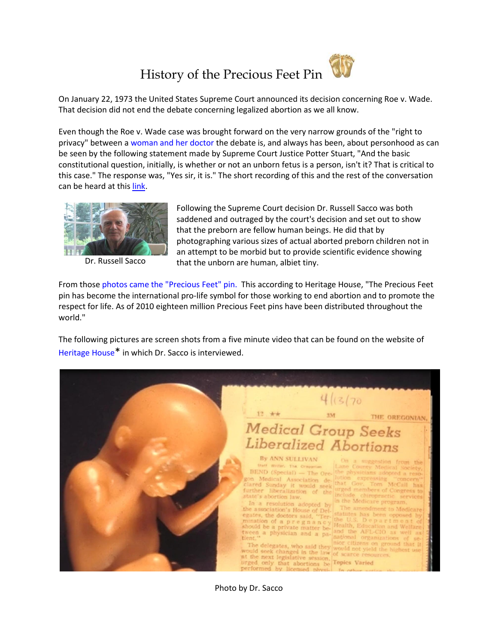## History of the Precious Feet Pin



Even though the Roe v. Wade case was brought forward on the very narrow grounds of the "right to privacy" between [a woman and her doctor](http://en.wikipedia.org/wiki/Roe_v._Wade) the debate is, and always has been, about personhood as can be seen by the following statement made by Supreme Court Justice Potter Stuart, "And the basic constitutional question, initially, is whether or not an unborn fetus is a person, isn't it? That is critical to this case." The response was, "Yes sir, it is." The short recording of this and the rest of the conversation can be heard at this [link.](http://crusadeforlife.org/Salt%20and%20Light/personhood%20video.htm)



Following the Supreme Court decision Dr. Russell Sacco was both saddened and outraged by the court's decision and set out to show that the preborn are fellow human beings. He did that by photographing various sizes of actual aborted preborn children not in an attempt to be morbid but to provide scientific evidence showing Dr. Russell Sacco that the unborn are human, albiet tiny.

From thos[e photos came the "Precious Feet" pin.](http://www.afajournal.org/2007/january/0107precious_feet.asp) This according to Heritage House, "The Precious Feet pin has become the international pro-life symbol for those working to end abortion and to promote the respect for life. As of 2010 eighteen million Precious Feet pins have been distributed throughout the world."

The following pictures are screen shots from a five minute video that can be found on the website of [Heritage House](http://www.heritagehouse76.com/default.aspx?GroupID=141)\* in which Dr. Sacco is interviewed.



Photo by Dr. Sacco